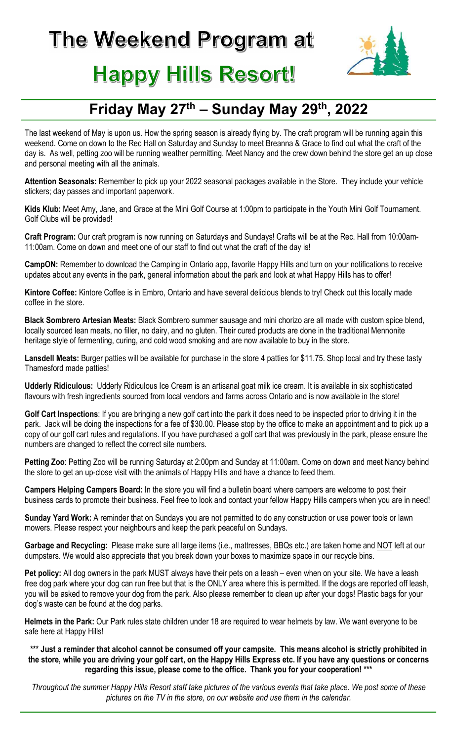

## **Happy Hills Resort!**

## Friday May 27<sup>th</sup> – Sunday May 29<sup>th</sup>, 2022

The last weekend of May is upon us. How the spring season is already flying by. The craft program will be running again this weekend. Come on down to the Rec Hall on Saturday and Sunday to meet Breanna & Grace to find out what the craft of the day is. As well, petting zoo will be running weather permitting. Meet Nancy and the crew down behind the store get an up close and personal meeting with all the animals.

Attention Seasonals: Remember to pick up your 2022 seasonal packages available in the Store. They include your vehicle stickers; day passes and important paperwork.

Kids Klub: Meet Amy, Jane, and Grace at the Mini Golf Course at 1:00pm to participate in the Youth Mini Golf Tournament. Golf Clubs will be provided!

Craft Program: Our craft program is now running on Saturdays and Sundays! Crafts will be at the Rec. Hall from 10:00am-11:00am. Come on down and meet one of our staff to find out what the craft of the day is!

CampON: Remember to download the Camping in Ontario app, favorite Happy Hills and turn on your notifications to receive updates about any events in the park, general information about the park and look at what Happy Hills has to offer!

Kintore Coffee: Kintore Coffee is in Embro, Ontario and have several delicious blends to try! Check out this locally made coffee in the store.

Black Sombrero Artesian Meats: Black Sombrero summer sausage and mini chorizo are all made with custom spice blend, locally sourced lean meats, no filler, no dairy, and no gluten. Their cured products are done in the traditional Mennonite heritage style of fermenting, curing, and cold wood smoking and are now available to buy in the store.

Lansdell Meats: Burger patties will be available for purchase in the store 4 patties for \$11.75. Shop local and try these tasty Thamesford made patties!

Udderly Ridiculous: Udderly Ridiculous Ice Cream is an artisanal goat milk ice cream. It is available in six sophisticated flavours with fresh ingredients sourced from local vendors and farms across Ontario and is now available in the store!

Golf Cart Inspections: If you are bringing a new golf cart into the park it does need to be inspected prior to driving it in the park. Jack will be doing the inspections for a fee of \$30.00. Please stop by the office to make an appointment and to pick up a copy of our golf cart rules and regulations. If you have purchased a golf cart that was previously in the park, please ensure the numbers are changed to reflect the correct site numbers.

Petting Zoo: Petting Zoo will be running Saturday at 2:00pm and Sunday at 11:00am. Come on down and meet Nancy behind the store to get an up-close visit with the animals of Happy Hills and have a chance to feed them.

Campers Helping Campers Board: In the store you will find a bulletin board where campers are welcome to post their business cards to promote their business. Feel free to look and contact your fellow Happy Hills campers when you are in need!

Sunday Yard Work: A reminder that on Sundays you are not permitted to do any construction or use power tools or lawn mowers. Please respect your neighbours and keep the park peaceful on Sundays.

Garbage and Recycling: Please make sure all large items (i.e., mattresses, BBQs etc.) are taken home and NOT left at our dumpsters. We would also appreciate that you break down your boxes to maximize space in our recycle bins.

Pet policy: All dog owners in the park MUST always have their pets on a leash – even when on your site. We have a leash free dog park where your dog can run free but that is the ONLY area where this is permitted. If the dogs are reported off leash, you will be asked to remove your dog from the park. Also please remember to clean up after your dogs! Plastic bags for your dog's waste can be found at the dog parks.

Helmets in the Park: Our Park rules state children under 18 are required to wear helmets by law. We want everyone to be safe here at Happy Hills!

\*\*\* Just a reminder that alcohol cannot be consumed off your campsite. This means alcohol is strictly prohibited in the store, while you are driving your golf cart, on the Happy Hills Express etc. If you have any questions or concerns regarding this issue, please come to the office. Thank you for your cooperation! \*\*\*

Throughout the summer Happy Hills Resort staff take pictures of the various events that take place. We post some of these pictures on the TV in the store, on our website and use them in the calendar.